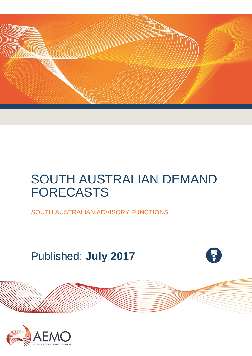

# SOUTH AUSTRALIAN DEMAND FORECASTS

SOUTH AUSTRALIAN ADVISORY FUNCTIONS

Published: **July 2017**



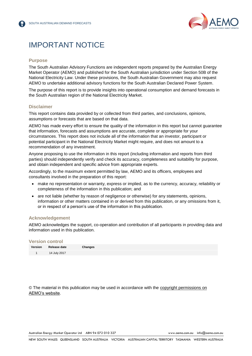

## IMPORTANT NOTICE

#### **Purpose**

The South Australian Advisory Functions are independent reports prepared by the Australian Energy Market Operator (AEMO) and published for the South Australian jurisdiction under Section 50B of the National Electricity Law. Under these provisions, the South Australian Government may also request AEMO to undertake additional advisory functions for the South Australian Declared Power System.

The purpose of this report is to provide insights into operational consumption and demand forecasts in the South Australian region of the National Electricity Market.

#### **Disclaimer**

This report contains data provided by or collected from third parties, and conclusions, opinions, assumptions or forecasts that are based on that data.

AEMO has made every effort to ensure the quality of the information in this report but cannot guarantee that information, forecasts and assumptions are accurate, complete or appropriate for your circumstances. This report does not include all of the information that an investor, participant or potential participant in the National Electricity Market might require, and does not amount to a recommendation of any investment.

Anyone proposing to use the information in this report (including information and reports from third parties) should independently verify and check its accuracy, completeness and suitability for purpose, and obtain independent and specific advice from appropriate experts.

Accordingly, to the maximum extent permitted by law, AEMO and its officers, employees and consultants involved in the preparation of this report:

- make no representation or warranty, express or implied, as to the currency, accuracy, reliability or completeness of the information in this publication; and
- are not liable (whether by reason of negligence or otherwise) for any statements, opinions, information or other matters contained in or derived from this publication, or any omissions from it, or in respect of a person's use of the information in this publication.

#### **Acknowledgement**

AEMO acknowledges the support, co-operation and contribution of all participants in providing data and information used in this publication.

#### **Version control**

| Version Release date | Changes |
|----------------------|---------|
| 14 July 2017         |         |

© The material in this publication may be used in accordance with the [copyright permissions](http://www.aemo.com.au/en/About-AEMO/Copyright-Permissions) on AEMO's website.

Australian Energy Market Operator Ltd ABN 94 072 010 327 [www.aemo.com.au](http://www.aemo.com.au/) [info@aemo.com.au](mailto:info@aemo.com.au)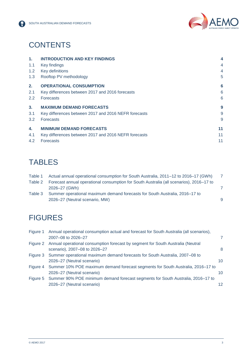



## **CONTENTS**

| $\mathbf{1}$ . | <b>INTRODUCTION AND KEY FINDINGS</b>                 | 4  |
|----------------|------------------------------------------------------|----|
| 1.1            | Key findings                                         | 4  |
| 1.2            | Key definitions                                      | 4  |
| 1.3            | Rooftop PV methodology                               | 5  |
| 2.             | <b>OPERATIONAL CONSUMPTION</b>                       | 6  |
| 2.1            | Key differences between 2017 and 2016 forecasts      | 6  |
| $2.2^{\circ}$  | <b>Forecasts</b>                                     | 6  |
| 3 <sub>1</sub> | <b>MAXIMUM DEMAND FORECASTS</b>                      | 9  |
| 3.1            | Key differences between 2017 and 2016 NEFR forecasts | 9  |
| 3.2            | <b>Forecasts</b>                                     | 9  |
| 4.             | <b>MINIMUM DEMAND FORECASTS</b>                      | 11 |
| 4.1            | Key differences between 2017 and 2016 NEFR forecasts | 11 |
| 4.2            | <b>Forecasts</b>                                     | 11 |

## **TABLES**

| Table 1 | Actual annual operational consumption for South Australia, 2011–12 to 2016–17 (GWh)     |    |
|---------|-----------------------------------------------------------------------------------------|----|
| Table 2 | Forecast annual operational consumption for South Australia (all scenarios), 2016–17 to |    |
|         | 2026-27 (GWh)                                                                           |    |
| Table 3 | Summer operational maximum demand forecasts for South Australia, 2016–17 to             |    |
|         | 2026–27 (Neutral scenario, MW)                                                          | -9 |
|         |                                                                                         |    |

## **FIGURES**

| Figure 1 | Annual operational consumption actual and forecast for South Australia (all scenarios),  |                 |  |
|----------|------------------------------------------------------------------------------------------|-----------------|--|
|          | 2007-08 to 2026-27                                                                       | 7               |  |
|          | Figure 2 Annual operational consumption forecast by segment for South Australia (Neutral |                 |  |
|          | scenario), 2007-08 to 2026-27                                                            | 8               |  |
|          | Figure 3 Summer operational maximum demand forecasts for South Australia, 2007–08 to     |                 |  |
|          | 2026-27 (Neutral scenario)                                                               | 10.             |  |
|          | Figure 4 Summer 10% POE maximum demand forecast segments for South Australia, 2016–17 to |                 |  |
|          | 2026-27 (Neutral scenario)                                                               | 10              |  |
|          | Figure 5 Summer 90% POE minimum demand forecast segments for South Australia, 2016–17 to |                 |  |
|          | 2026-27 (Neutral scenario)                                                               | 12 <sup>°</sup> |  |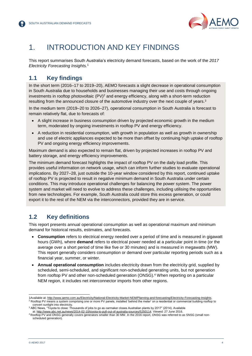

## <span id="page-3-0"></span>1. INTRODUCTION AND KEY FINDINGS

This report summarises South Australia's electricity demand forecasts, based on the work of the *2017 Electricity Forecasting Insights.*<sup>1</sup>

### <span id="page-3-1"></span>**1.1 Key findings**

In the short term (2016–17 to 2019–20), AEMO forecasts a slight decrease in operational consumption in South Australia due to households and businesses managing their use and costs through ongoing investments in rooftop photovoltaic  $(PV)^2$  and energy efficiency, along with a short-term reduction resulting from the announced closure of the automotive industry over the next couple of years.<sup>3</sup>

In the medium term (2019–20 to 2026–27), operational consumption in South Australia is forecast to remain relatively flat, due to forecasts of:

- A slight increase in business consumption driven by projected economic growth in the medium term, moderated by ongoing investments in rooftop PV and energy efficiency.
- A reduction in residential consumption, with growth in population as well as growth in ownership and use of electric appliances expected to be more than offset by continuing high uptake of rooftop PV and ongoing energy efficiency improvements.

Maximum demand is also expected to remain flat, driven by projected increases in rooftop PV and battery storage, and energy efficiency improvements.

The minimum demand forecast highlights the impact of rooftop PV on the daily load profile. This provides useful information on network usage, which can inform further studies to evaluate operational implications. By 2027–28, just outside the 10-year window considered by this report, continued uptake of rooftop PV is projected to result in negative minimum demand in South Australia under certain conditions. This may introduce operational challenges for balancing the power system. The power system and market will need to evolve to address these challenges, including utilising the opportunities from new technologies. For example, South Australia could store this excess generation, or could export it to the rest of the NEM via the interconnectors, provided they are in service.

### <span id="page-3-2"></span>**1.2 Key definitions**

This report presents annual operational consumption as well as operational maximum and minimum demand for historical results, estimates, and forecasts.

- **Consumption** refers to electrical energy needed over a period of time and is measured in gigawatt hours (GWh), where **demand** refers to electrical power needed at a particular point in time (or the average over a short period of time like five or 30 minutes) and is measured in megawatts (MW). This report generally considers consumption or demand over particular reporting periods such as a financial year, summer, or winter.
- **Annual operational consumption** includes electricity drawn from the electricity grid, supplied by scheduled, semi-scheduled, and significant non-scheduled generating units, but not generation from rooftop PV and other non-scheduled generation (ONSG).<sup>4</sup> When reporting on a particular NEM region, it includes net interconnector imports from other regions.

l

<sup>1</sup>Available at: [http://www.aemo.com.au/Electricity/National-Electricity-Market-NEM/Planning-and-forecasting/Electricity-Forecasting-Insights.](http://www.aemo.com.au/Electricity/National-Electricity-Market-NEM/Planning-and-forecasting/Electricity-Forecasting-Insights) <sup>2</sup> Rooftop PV means a system comprising one or more PV panels, installed 'behind the meter' on a residential or commercial building rooftop to convert sunlight into electricity.

<sup>3</sup> ABC News, "Toyota to close: Thousands of jobs to go as carmaker closes Australian plants by 2017" (2014). Available

at: [http://www.abc.net.au/news/2014-02-10/toyota-to-pull-out-of-australia-sources/5250114.](http://www.abc.net.au/news/2014-02-10/toyota-to-pull-out-of-australia-sources/5250114) Viewed: 27 June 2016.

<sup>4</sup> Rooftop PV and ONSG generally covers generators smaller than 30 MW. In the 2016 report, ONSG was referred to as SNSG (small nonscheduled generation).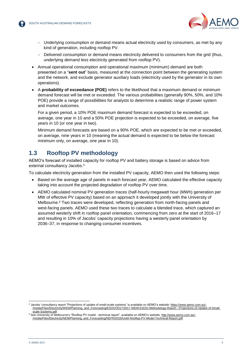

- Underlying consumption or demand means actual electricity used by consumers, as met by any kind of generation, including rooftop PV.
- Delivered consumption or demand means electricity delivered to consumers from the grid (thus, underlying demand less electricity generated from rooftop PV).
- Annual operational consumption and operational maximum (minimum) demand are both presented on a "**sent out**" basis, measured at the connection point between the generating system and the network, and exclude generator auxiliary loads (electricity used by the generator in its own operations).
- A **probability of exceedance (POE)** refers to the likelihood that a maximum demand or minimum demand forecast will be met or exceeded. The various probabilities (generally 90%, 50%, and 10% POE) provide a range of possibilities for analysts to determine a realistic range of power system and market outcomes.

For a given period, a 10% POE maximum demand forecast is expected to be exceeded, on average, one year in 10 and a 50% POE projection is expected to be exceeded, on average, five years in 10 (or one year in two).

Minimum demand forecasts are based on a 90% POE, which are expected to be met or exceeded, on average, nine years in 10 (meaning the actual demand is expected to be below the forecast minimum only, on average, one year in 10).

### <span id="page-4-0"></span>**1.3 Rooftop PV methodology**

AEMO's forecast of installed capacity for rooftop PV and battery storage is based on advice from external consultancy Jacobs.<sup>5</sup>

To calculate electricity generation from the installed PV capacity, AEMO then used the following steps:

- Based on the average age of panels in each forecast year, AEMO calculated the effective capacity taking into account the projected degradation of rooftop PV over time.
- AEMO calculated nominal PV generation traces (half-hourly megawatt hour (MWh) generation per MW of effective PV capacity) based on an approach it developed jointly with the University of Melbourne. <sup>6</sup> Two traces were developed, reflecting generation from north-facing panels and west-facing panels. AEMO used these two traces to calculate a blended trace, which captured an assumed westerly shift in rooftop panel orientation, commencing from zero at the start of 2016–17 and resulting in 10% of Jacobs' capacity projections having a westerly panel orientation by 2036–37, in response to changing consumer incentives.

l

<sup>5</sup> Jacobs' consultancy report "Projections of uptake of small-scale systems" is available on AEMO's website[: https://www.aemo.com.au/-](https://www.aemo.com.au/-/media/Files/Electricity/WEM/Planning_and_Forecasting/ESOO/2017/2017-WEM-ESOO-Methodology-Report---Projections-of-Uptake-of-Small-scale-Systems.pdf) [/media/Files/Electricity/WEM/Planning\\_and\\_Forecasting/ESOO/2017/2017-WEM-ESOO-Methodology-Report---Projections-of-Uptake-of-Small](https://www.aemo.com.au/-/media/Files/Electricity/WEM/Planning_and_Forecasting/ESOO/2017/2017-WEM-ESOO-Methodology-Report---Projections-of-Uptake-of-Small-scale-Systems.pdf)[scale-Systems.pdf.](https://www.aemo.com.au/-/media/Files/Electricity/WEM/Planning_and_Forecasting/ESOO/2017/2017-WEM-ESOO-Methodology-Report---Projections-of-Uptake-of-Small-scale-Systems.pdf)

<sup>6</sup> See University of Melbourne's "Rooftop PV model - technical report", available on AEMO's website[: http://www.aemo.com.au/-](http://www.aemo.com.au/-/media/Files/Electricity/NEM/Planning_and_Forecasting/NEFR/2016/UoM-Rooftop-PV-Model-Technical-Report.pdf) [/media/Files/Electricity/NEM/Planning\\_and\\_Forecasting/NEFR/2016/UoM-Rooftop-PV-Model-Technical-Report.pdf.](http://www.aemo.com.au/-/media/Files/Electricity/NEM/Planning_and_Forecasting/NEFR/2016/UoM-Rooftop-PV-Model-Technical-Report.pdf)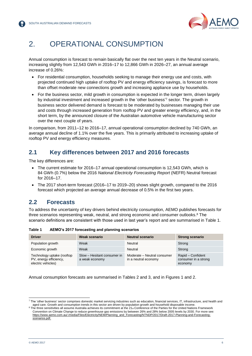

## <span id="page-5-0"></span>2. OPERATIONAL CONSUMPTION

Annual consumption is forecast to remain basically flat over the next ten years in the Neutral scenario, increasing slightly from 12,543 GWh in 2016–17 to 12,866 GWh in 2026–27, an annual average increase of 0.26%:

- For residential consumption, households seeking to manage their energy use and costs, with projected continued high uptake of rooftop PV and energy efficiency savings, is forecast to more than offset moderate new connections growth and increasing appliance use by households.
- For the business sector, mild growth in consumption is expected in the longer term, driven largely by industrial investment and increased growth in the 'other business' <sup>7</sup> sector. The growth in business sector delivered demand is forecast to be moderated by businesses managing their use and costs through increased generation from rooftop PV and greater energy efficiency, and, in the short term, by the announced closure of the Australian automotive vehicle manufacturing sector over the next couple of years.

In comparison, from 2011–12 to 2016–17, annual operational consumption declined by 740 GWh, an average annual decline of 1.1% over the five years. This is primarily attributed to increasing uptake of rooftop PV and energy efficiency measures.

### <span id="page-5-1"></span>**2.1 Key differences between 2017 and 2016 forecasts**

The key differences are:

- The current estimate for 2016–17 annual operational consumption is 12,543 GWh, which is 84 GWh (0.7%) below the 2016 *National Electricity Forecasting Report* (NEFR) Neutral forecast for 2016–17.
- The 2017 short-term forecast (2016–17 to 2019–20) shows slight growth, compared to the 2016 forecast which projected an average annual decrease of 0.5% in the first two years.

### <span id="page-5-2"></span>**2.2 Forecasts**

To address the uncertainty of key drivers behind electricity consumption, AEMO publishes forecasts for three scenarios representing weak, neutral, and strong economic and consumer outlooks.<sup>8</sup> The scenario definitions are consistent with those used in last year's report and are summarised in [Table 1.](#page-5-3)

| <b>Driver</b>                                                              | Weak scenario                                 | <b>Neutral scenario</b>                             | <b>Strong scenario</b>                               |
|----------------------------------------------------------------------------|-----------------------------------------------|-----------------------------------------------------|------------------------------------------------------|
| Population growth                                                          | Weak                                          | Neutral                                             | Strong                                               |
| Economic growth                                                            | Weak                                          | Neutral                                             | Strong                                               |
| Technology uptake (rooftop<br>PV, energy efficiency,<br>electric vehicles) | Slow - Hesitant consumer in<br>a weak economy | Moderate - Neutral consumer<br>in a neutral economy | Rapid - Confident<br>consumer in a strong<br>economy |

<span id="page-5-3"></span>**Table 1 AEMO's 2017 forecasting and planning scenarios** 

Annual consumption forecasts are summarised in Tables 2 and 3, and in Figures 1 and 2.

l 7 The 'other business' sector comprises domestic market servicing industries such as education, financial services, IT, infrastructure, and health and aged care. Growth and consumption trends in this sector are driven by population growth and household disposable income.

<sup>&</sup>lt;sup>8</sup> The three sensitivities all assume Australia achieves its commitment at the 21st Conference of the Parties for the United Nations Framework Convention on Climate Change to reduce greenhouse gas emissions by between 26% and 28% below 2005 levels by 2030. For more see: [https://www.aemo.com.au/-/media/Files/Electricity/NEM/Planning\\_and\\_Forecasting/NTNDP/2017/Draft-2017-Planning-and-Forecasting](https://www.aemo.com.au/-/media/Files/Electricity/NEM/Planning_and_Forecasting/NTNDP/2017/Draft-2017-Planning-and-Forecasting-scenarios.pdf)scenarios pdf.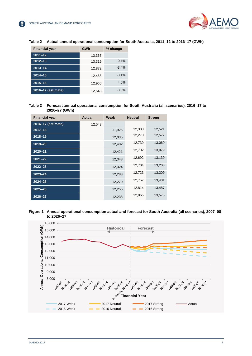

| <b>Financial year</b> | GWh    | % change |  |
|-----------------------|--------|----------|--|
| $2011 - 12$           | 13,367 |          |  |
| $2012 - 13$           | 13.319 | $-0.4%$  |  |
| $2013 - 14$           | 12,872 | $-3.4%$  |  |
| $2014 - 15$           | 12,468 | $-3.1\%$ |  |
| $2015 - 16$           | 12,966 | 4.0%     |  |
| 2016-17 (estimate)    | 12,543 | $-3.3%$  |  |

#### <span id="page-6-0"></span>**Table 2 Actual annual operational consumption for South Australia, 2011–12 to 2016–17 (GWh)**

#### <span id="page-6-1"></span>**Table 3 Forecast annual operational consumption for South Australia (all scenarios), 2016–17 to 2026–27 (GWh)**

| <b>Financial year</b> | <b>Actual</b> | Weak   | <b>Neutral</b> | <b>Strong</b> |
|-----------------------|---------------|--------|----------------|---------------|
| 2016-17 (estimate)    | 12,543        |        |                |               |
| $2017 - 18$           |               | 11,925 | 12,308         | 12,521        |
| $2018 - 19$           |               | 12,035 | 12,270         | 12,572        |
| 2019-20               |               | 12,482 | 12,739         | 13,060        |
| $2020 - 21$           |               | 12,421 | 12,702         | 13,079        |
| $2021 - 22$           |               | 12,348 | 12,692         | 13,139        |
| $2022 - 23$           |               | 12,324 | 12,704         | 13,208        |
| $2023 - 24$           |               | 12,288 | 12,723         | 13,309        |
| $2024 - 25$           |               | 12,270 | 12,757         | 13,401        |
| $2025 - 26$           |               | 12,255 | 12,814         | 13,487        |
| 2026-27               |               | 12,238 | 12,866         | 13,575        |

#### <span id="page-6-2"></span>**Figure 1 Annual operational consumption actual and forecast for South Australia (all scenarios), 2007–08 to 2026–27**

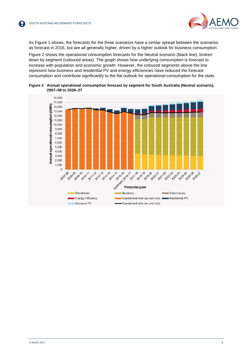

As Figure 1 shows, the forecasts for the three scenarios have a similar spread between the scenarios as forecast in 2016, but are all generally higher, driven by a higher outlook for business consumption.

[Figure 2](#page-7-0) shows the operational consumption forecasts for the Neutral scenario (black line), broken down by segment (coloured areas). The graph shows how underlying consumption is forecast to increase with population and economic growth. However, the coloured segments above the line represent how business and residential PV and energy efficiencies have reduced the forecast consumption and contribute significantly to the flat outlook for operational consumption for the state.

<span id="page-7-0"></span>

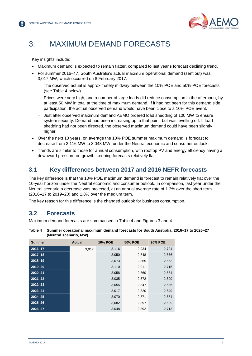

## <span id="page-8-0"></span>3. MAXIMUM DEMAND FORECASTS

Key insights include:

- Maximum demand is expected to remain flatter, compared to last year's forecast declining trend.
- For summer 2016–17, South Australia's actual maximum operational demand (sent out) was 3,017 MW, which occurred on 8 February 2017.
	- The observed actual is approximately midway between the 10% POE and 50% POE forecasts (see [Table 4](#page-8-3) below).
	- Prices were very high, and a number of large loads did reduce consumption in the afternoon, by at least 50 MW in total at the time of maximum demand. If it had not been for this demand side participation, the actual observed demand would have been close to a 10% POE event.
	- Just after observed maximum demand AEMO ordered load shedding of 100 MW to ensure system security. Demand had been increasing up to that point, but was levelling off. If load shedding had not been directed, the observed maximum demand could have been slightly higher.
- Over the next 10 years, on average the 10% POE summer maximum demand is forecast to decrease from 3,116 MW to 3,048 MW, under the Neutral economic and consumer outlook.
- Trends are similar to those for annual consumption, with rooftop PV and energy efficiency having a downward pressure on growth, keeping forecasts relatively flat.

### <span id="page-8-1"></span>**3.1 Key differences between 2017 and 2016 NEFR forecasts**

The key difference is that the 10% POE maximum demand is forecast to remain relatively flat over the 10-year horizon under the Neutral economic and consumer outlook. In comparison, last year under the Neutral scenario a decrease was projected, at an annual average rate of 1.3% over the short term (2016–17 to 2019–20) and 1.8% over the medium term.

The key reason for this difference is the changed outlook for business consumption.

## <span id="page-8-2"></span>**3.2 Forecasts**

Maximum demand forecasts are summarised in Table 4 and Figures 3 and 4.

#### <span id="page-8-3"></span>**Table 4 Summer operational maximum demand forecasts for South Australia, 2016–17 to 2026–27 (Neutral scenario, MW)**

| <b>Summer</b> | <b>Actual</b> | <b>10% POE</b> | <b>50% POE</b> | <b>90% POE</b> |
|---------------|---------------|----------------|----------------|----------------|
| $2016 - 17$   | 3,017         | 3,116          | 2,934          | 2,724          |
| $2017 - 18$   |               | 3,050          | 2,848          | 2,676          |
| 2018-19       |               | 3,073          | 2,865          | 2,663          |
| 2019-20       |               | 3,110          | 2,911          | 2,715          |
| $2020 - 21$   |               | 3,058          | 2,860          | 2,684          |
| $2021 - 22$   |               | 3,035          | 2,872          | 2,699          |
| $2022 - 23$   |               | 3,055          | 2,847          | 2,686          |
| $2023 - 24$   |               | 3,017          | 2,820          | 2,649          |
| $2024 - 25$   |               | 3,070          | 2,871          | 2,684          |
| $2025 - 26$   |               | 3,082          | 2,897          | 2,699          |
| $2026 - 27$   |               | 3,048          | 2,892          | 2,713          |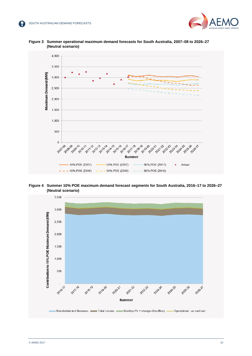



<span id="page-9-0"></span>**Figure 3 Summer operational maximum demand forecasts for South Australia, 2007–08 to 2026–27 (Neutral scenario)**

<span id="page-9-1"></span>**Figure 4 Summer 10% POE maximum demand forecast segments for South Australia, 2016–17 to 2026–27 (Neutral scenario)**

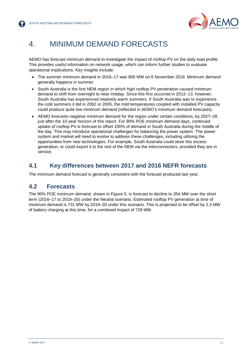

## <span id="page-10-0"></span>4. MINIMUM DEMAND FORECASTS

AEMO has forecast minimum demand to investigate the impact of rooftop PV on the daily load profile. This provides useful information on network usage, which can inform further studies to evaluate operational implications. Key insights include:

- The summer minimum demand in 2016–17 was 800 MW on 6 November 2016. Minimum demand generally happens in summer.
- South Australia is the first NEM region in which high rooftop PV penetration caused minimum demand to shift from overnight to near midday. Since this first occurred in 2012–13, however, South Australia has experienced relatively warm summers. If South Australia was to experience the cold summers it did in 2002 or 2005, the mild temperatures coupled with installed PV capacity could produce quite low minimum demand (reflected in AEMO's minimum demand forecasts).
- AEMO forecasts negative minimum demand for the region under certain conditions, by 2027–28, just after the 10-year horizon of this report. For 90% POE minimum demand days, continued uptake of rooftop PV is forecast to offset 100% of demand in South Australia during the middle of the day. This may introduce operational challenges for balancing the power system. The power system and market will need to evolve to address these challenges, including utilising the opportunities from new technologies. For example, South Australia could store this excess generation, or could export it to the rest of the NEM via the interconnectors, provided they are in service.

### <span id="page-10-1"></span>**4.1 Key differences between 2017 and 2016 NEFR forecasts**

The minimum demand forecast is generally consistent with the forecast produced last year.

### <span id="page-10-2"></span>**4.2 Forecasts**

The 90% POE minimum demand, shown in Figure 5, is forecast to decline to 354 MW over the short term (2016–17 to 2019–20) under the Neutral scenario. Estimated rooftop PV generation at time of minimum demand is 731 MW by 2019–20 under this scenario. This is projected to be offset by 2.3 MW of battery charging at this time, for a combined impact of 729 MW.